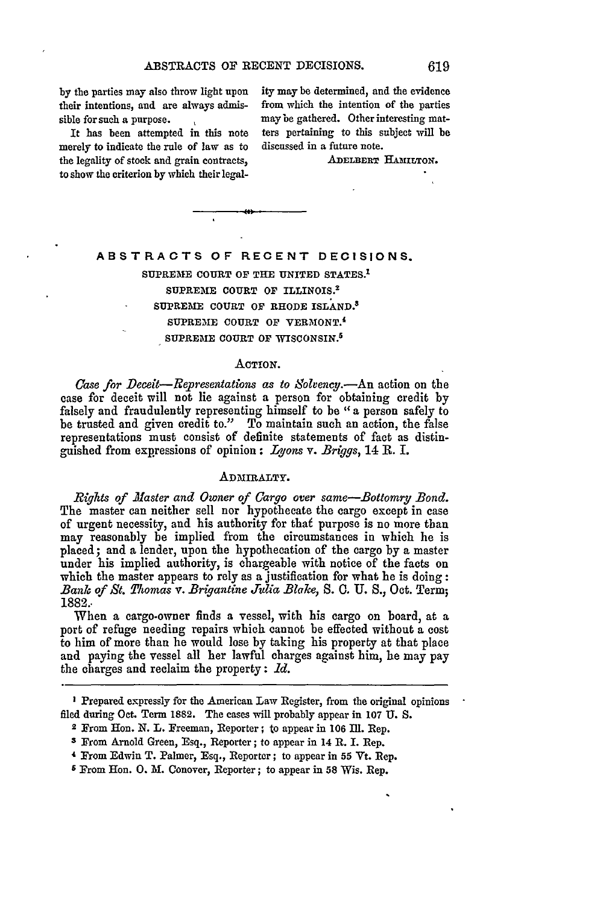their intentions, and are always admis- from which the intention of the parties sible for such a purpose. The may be gathered. Other interesting mat-

merely to indicate the rule of law as to discussed in a future note. the legality of stock and grain contracts, ADELBERT HAMILTON. to show the criterion **by** which their legal-

**by** the parties may also throw light upon ity may be determined, and the evidence It has been attempted in this note ters pertaining to this subject will be

# **ABSTRACTS OF RECENT DECISIONS.**

**SUPREM1E COURT** OF THE **UNITED STATES. <sup>1</sup>** SUPREME COURT OF ILLINOIS.<sup>2</sup> **SUPREME COURT** OF RHODE ISLAND.3 SUPREME COURT OF VERMONT.<sup>4</sup> **SUPREME COURT** OF WISCONSIN. <sup>5</sup>

### ACTION.

*Case for Deceit-Representations as to Solvency.-An* action on the case for deceit will not lie against a person for obtaining credit by falsely and fraudulently representing himself to be *"a* person safely to be trusted and given credit to." To maintain such an action, the false representations must consist of definite statements of fact as distinguished from expressions of opinion **:** *Lyons* v. *Briggs,* 14 R. I.

### ADMIRALTY.

*Rights of Master and Owner of Cargo over same-Bottomry Bond.* The master can neither sell nor hypothecate the cargo except in case of urgent necessity, and his authority for thaf purpose is no more than may reasonably be implied from the circumstances in which he is placed; and a lender, upon the hypothecation of the cargo by a master under his implied authority, is chargeable with notice of the facts on which the master appears to rely as a justification for what he is doing: *Bank of St. Yomas v. Brigantine Julia Blake,* **S. 0. U. S.,** Oct. Term; 1882..

When a cargo-owner finds a vessel, with his cargo on board, at a port of refuge needing repairs which cannot be effected without a cost to him of more than he would lose by taking his property at that place and paying the vessel all her lawful charges against him, he may pay the charges and reclaim the property: *Id.*

**I** Prepared expressly for the American Law Register, from the original opinions filed during Oct. Term **1882.** The cases will probably appear in **107 U. S.**

<sup>2</sup> From Hon. **N.** L. Freeman, Reporter; to appear in 106 **Il1.** Rep.

**<sup>3</sup>** From Arnold Green, Esq., Reporter; to appear in 14 R. I. Rep.

<sup>4</sup> From Edwin T. Palmer, Esq., Reporter; to appear in **55** Vt. Rep.

r From Hon. 0. M. Conover, Reporter; to appear in **58** Wis. Rep.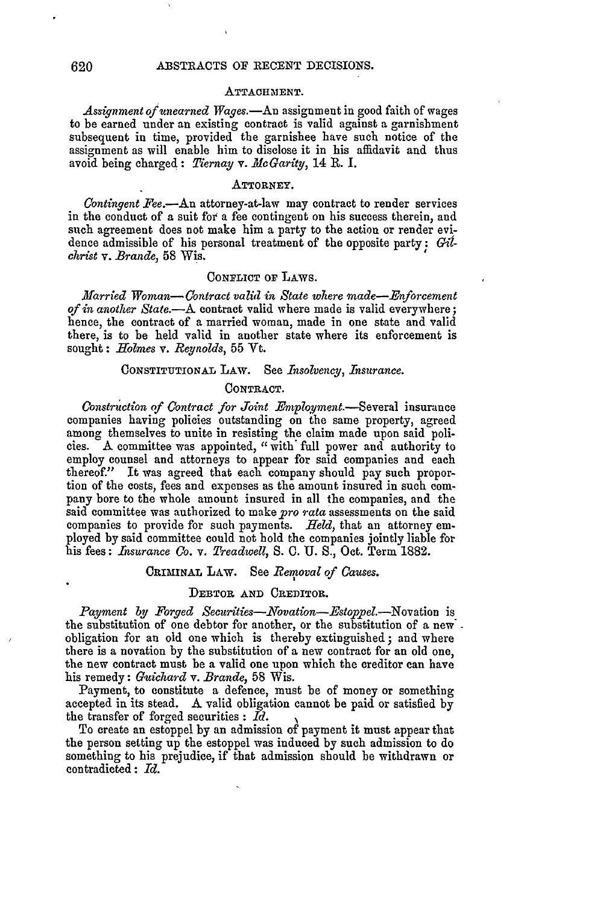#### **ATTACHMENT.**

Assignment of unearned Wages.—An assignment in good faith of wages to be earned under an existing contract is valid against a garnishment subsequent in time, provided the garnishee have such notice of the assignment as will enable him to disclose it in his affidavit and thus avoid being charged: *Tiernay v. Ale Garity,* 14 R. I.

### **ATTORNEY.**

*Contingent Fee.-An* attorney-at-law may contract to render services in the conduct of a suit for' a fee contingent on his success therein, and such agreement does not make him a party to the action or render evidence admissible of his personal treatment of the opposite party: Gil*christ v. Brande,* **58** Wis.

## **CONFLICT OF LAws.**

*Married Woman- Contract valid in State where made-Enforcement of in another State.-A* contract valid where made is valid everywhere; hence, the contract of a married woman, made in one state and valid there, is to be held valid in another state where its enforcement is sought: *Holmes v. Reynolds,* 55 Yt.

# **CONSTITUTIONAL** LAW. See *Insolvency, Insurance.*

### CONTRACT.

*Construetion of Contract for Joint* Employment.-Several insurance companies having policies outstanding on the same property, agreed among themselves to unite in resisting the claim made upon said policies. A committee was appointed, "with\* full power and authority to employ counsel and attorneys to appear for said companies and each thereof." It was agreed that each company should pay such proportion of the costs, fees and expenses as the amount insured in such company bore to the whole amount insured in all the companies, and the said committee was authorized to make *pro rata* assessments on the said companies to provide for such payments. Held, that an attorney employed by said committee could not hold the companies jointly liable for his fees: *Insurance Co. v. Treadwell,* **S. 0. U. S.,** Oct. Term 1882.

# **CRIMINAL LAW.** See *Removal of Causes.*

### **DEBTOR AND CREDITOR.**

*Payment by Forged Securities-Novation-Estoppel.-Novation* is the substitution of one debtor for another, or the substitution of a new' obligation for an old one which is thereby extinguished; and where there is a novation by the substitution of a new contract for an old one, the new contract must be a valid one upon which the creditor can have his remedy: *Guichard v. Brande,* 58 Wis.

Payment, to constitute a defence, must be of money or something accepted in its stead. **A** valid obligation cannot be paid or satisfied by the transfer of forged securities **:** *Id.*

To create an estoppel by an admission of payment it must appear that the person setting up the estoppel was induced by such admission to do something to his prejudice, if that admission should be withdrawn or contradicted: *Id.*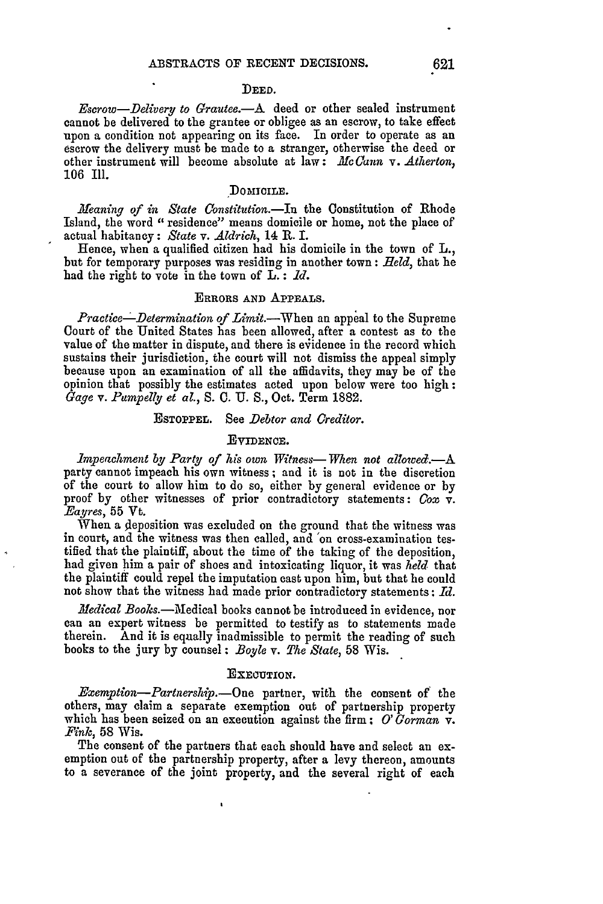#### **DEED.**

*Escrow-Delivery to Grautee.-A* deed or other sealed instrument cannot be delivered to the grantee or obligee as an escrow, to take effect upon a condition not appearing on its face. In order to operate as an escrow the delivery must be made to a stranger, otherwise the deed or other instrument will become absolute at law: **He** Cann *v. Atherton,* 106 Ill.

### DOMICILE.

*Meaning of in State Constitution.-In* the Constitution of Rhode Island, the word "residence" means domicile or home, not the place of actual habitancy: *State v. Aldrich,* 14 R. I.

Hence, when a qualified citizen had his domicile in the town of L., but for temporary purposes was residing in another town: *Held,* that he had the right to vote in the town of L. : *Id.*

### ERRORS **AND APPEALS.**

*Practice-Determination of Limit.-When* an appeal to the Supreme Court of the United States has been allowed, after a contest as to the value of the matter in dispute, and there is evidence in the record which sustains their jurisdiction, the court will not dismiss the appeal simply because upon an examination of all the affidavits, they may be of the opinion that possibly the estimates acted upon below were too high: *Gage v. Pumpelly et al., S.* **C.** U. **S.,** Oct. Term **1882.**

## **ESTOPPEL.** See *Debtor and Creditor.*

## **EVIDENCE.**

*impeachment by Party of his own Witness- When not allowed .- A* party cannot impeach his own witness; and it is not in the discretion of the court to allow him to do so, either by general evidence or by proof by other witnesses of prior contradictory statements: *Cox v. Eayres,* **55** Vt.

When a deposition was excluded on the ground that the witness was in court, and the witness was then called, and 'on cross-examination testified that the plaintiff, about the time of the taking of the deposition, had given him a pair of shoes and intoxicating liquor, it was *held* that the plaintiff could repel the imputation cast upon him, but that he could not show that the witness had made prior contradictory statements : *Id.*

*Medical Books.*-Medical books cannot be introduced in evidence, nor can an expert witness be permitted to testify as to statements made therein. And it is equally inadmissible to permit the reading of such books to the jury by counsel: *Boyle v. The State,* 58 Wis.

#### **EXECUTION.**

*Exemption-Partnership.-One* partner, with the consent of the others, may claim a separate exemption out of partnership property which has been seized on an execution against the firm; *O' Gorman*  $\mathbf{v}$ . *Fink*, 58 Wis.

The consent of the partners that each should have and select an exemption out of the partnership property, after a levy thereon, amounts to a severance of the joint property, and the several right of each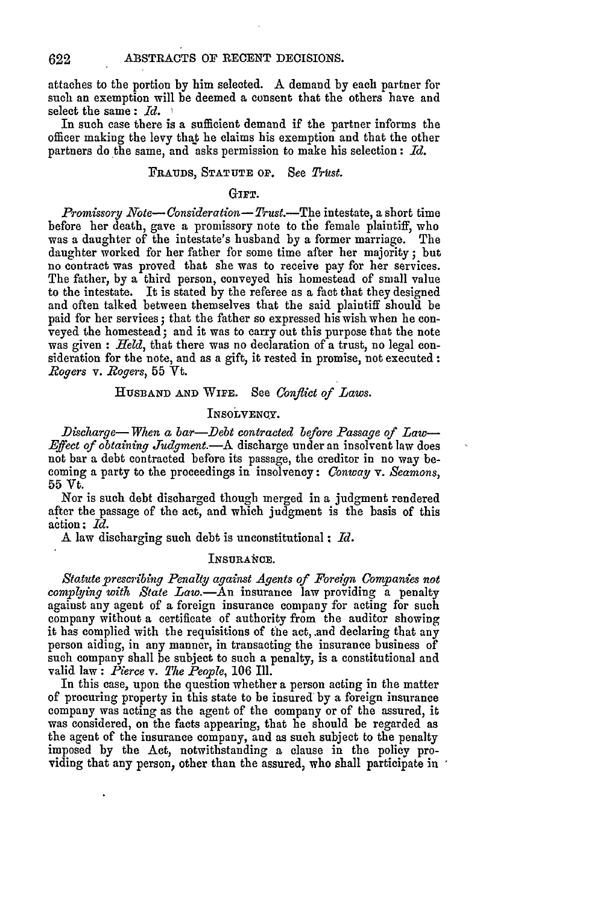622

attaches to the portion by him selected. A demand **by** each partner for such an exemption will be deemed a consent that the others have and select the same **:** *Id.*

In such case there is a sufficient demand if the partner informs the officer making the levy that he claims his exemption and that the other partners do the same, and asks permission to make his selection **:** *Id.*

## FRAUDS, STATUTE OF. See Trust.

# GIFT.

*Promissory Note- Consideration- Trust.-The* intestate, a short time before her death, gave a promissory note to the female plaintiff, who was a daughter of the intestate's husband by a former marriage. The daughter worked for her father for some time after her majority; but no contract was proved that she was to receive pay for her services. The father, by a third person, conveyed his homestead of small value to the intestate. It is stated by the referee as a fact that they designed and often talked between themselves that the said plaintiff should be paid for her services; that the father so expressed his wish when he conveyed the homestead; and it was to carry out this purpose that the note was given **:** *Held,* that there was no declaration of a trust, no legal consideration for the note, and as a gift, it rested in promise, not executed: *Rogers v. Rogers,* **55** Vt.

## **HUSBAND AND WIFE.** See *Conflict of Laws.*

## INSOLVENCY.

*Discharge- When a bar-Debt contracted before Passage of Law-Effect of obtaining Tudgment.-A* discharge under an insolvent law does not bar a debt contracted before its passage, the creditor in no way becoming a party to the proceedings in insolvency: *Conway v. Seamons,* **55** Vt.

Nor is such debt discharged though merged in a judgment rendered after the passage of the act, and which judgment is the basis of this action: *Id.*

A law discharging such debt is unconstitutional **;** *Id.*

## INSURANCE.

*Statute prescribing Penalty against Agents of Foreign Companies not complying with State Law.-An* insurance law providing a penalty against any agent of a foreign insurance company for acting for such company without a certificate of authority from the auditor showing it has complied with the requisitions of the act, and declaring that any person aiding, in any manner, in transacting the insurance business of such company shall be subject to such a penalty, is a constitutional and valid law : *Pierce* v. *The People,* **106** Ill.

In this case, upon the question whether a person acting in the matter of procuring property in this state to be insured by a foreign insurance company was acting as the agent of the company or of the assured, it was considered, on the facts appearing, that he should be regarded as the agent of the insurance company, and as such subject to the penalty imposed by the Act, notwithstanding a clause in the policy providing that any person, other than the assured, who shall participate in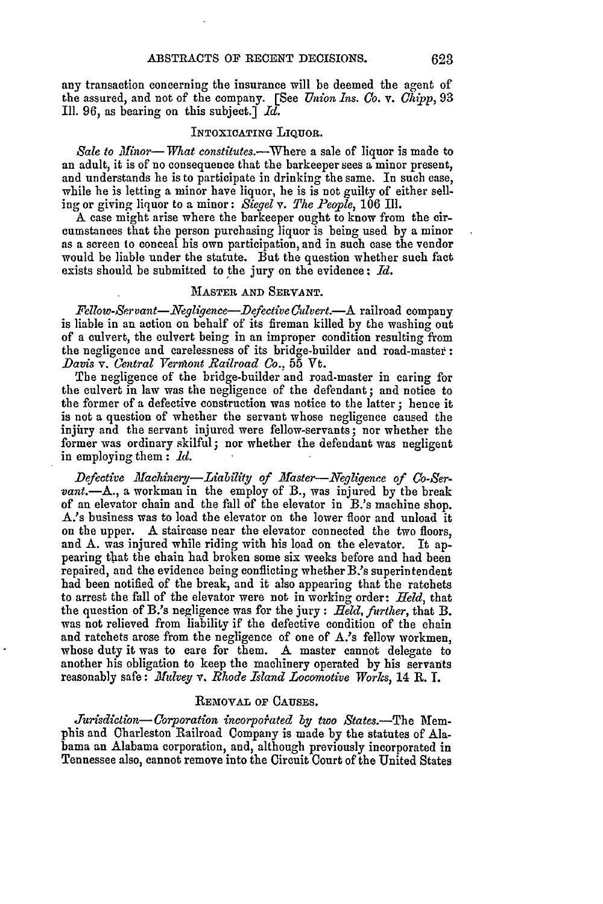any transaction concerning the insurance will be deemed the agent of the assured, and not of the company. [See *Union ins. Co. v. Chipp,* 93 Ill. 96, as bearing on this subject.] *Id.*

## INTOXICATING LIQUOR.

Sale to Minor-What constitutes.--Where a sale of liquor is made to an adult, it is of no consequence that the barkeeper sees a minor present, and understands he is to participate in drinking the same. In such case, while he is letting a minor have liquor, he is is not guilty of either sell- ing or giving liquor to a minor: *Siegel v. The People,* 106 IIl.

A case might arise where the barkeeper ought to know from the circumstances that the person purchasing liquor is being used by a minor as a screen to conceal his own participation, and in such case the vendor would be liable under the statute. But the question whether such fact exists should be submitted to the jury on the evidence: *Id.*

### MASTER **AND SERVANT.**

*Fellow-Servant-Negligence-DefectiveCulvert.-A* railroad company is liable in an action on behalf of its fireman killed by the washing out of a culvert, the culvert being in an improper condition resulting from the negligence and carelessness of its bridge-builder and road-master: *Davis v. Central Vermont Railroad Co.*, 55 Vt.

The negligence of the bridge-builder and road-master in caring for the culvert in law was the negligence of the defendant; and notice to the former of a defective construction was notice to the latter **;** hence it is not a question of whether the servant whose negligence caused the injury and the servant injured were fellow-servants; nor whether the former was ordinary skilful; nor whether the defendant was negligent in employing them : *1i.*

Defective Machinery-Liability of Master-Negligence of Co-Ser*vant.*—A., a workman in the employ of B., was injured by the break of an elevator chain and the fall of the elevator in B.'s machine shop. A.'s business was to load the elevator on the lower floor and unload it on the upper. A staircase near the elevator connected the two floors, and A. was injured while riding with his load on the elevator. It appearing that the chain had broken some six weeks before and had been repaired, and the evidence being conflicting whether B.'s superintendent had been notified of the break, and it also appearing that the ratchets to arrest the fall of the elevator were not in working order: *Held,* that the question of B.'s negligence was for the jury : *Held, further,* that B. was not relieved from liability if the defective condition of the chain and ratchets arose from the negligence of one of A.'s fellow workmen, whose duty it was to care for them. A master cannot delegate to another his obligation to keep the machinery operated by his servants reasonably safe: *Mulvey v. Rhode Island Locomotive Works,* 14 R. I.

#### REMOVAL OF **CAUSES.**

*Jurisdiction- Corporation incorpohated by/ two States.-The* Memphis and Charleston Railroad Company is made by the statutes of Alabama an Alabama corporation, and, although previously incorporated in Tennessee also, cannot remove into the Circuit Court of the United States